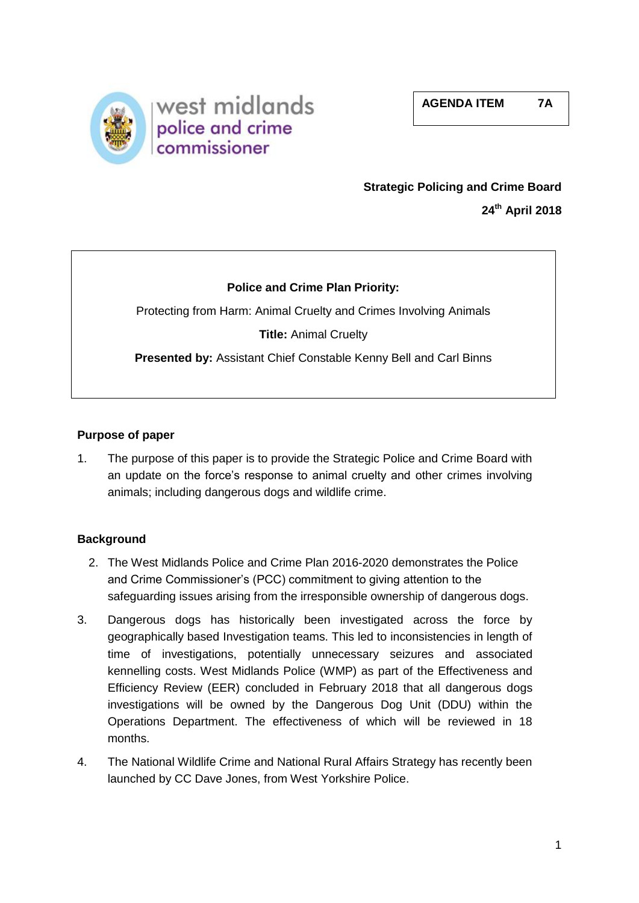

# **Strategic Policing and Crime Board 24th April 2018**

# **Police and Crime Plan Priority:**

Protecting from Harm: Animal Cruelty and Crimes Involving Animals

**Title:** Animal Cruelty

**Presented by:** Assistant Chief Constable Kenny Bell and Carl Binns

# **Purpose of paper**

1. The purpose of this paper is to provide the Strategic Police and Crime Board with an update on the force's response to animal cruelty and other crimes involving animals; including dangerous dogs and wildlife crime.

## **Background**

- 2. The West Midlands Police and Crime Plan 2016-2020 demonstrates the Police and Crime Commissioner's (PCC) commitment to giving attention to the safeguarding issues arising from the irresponsible ownership of dangerous dogs.
- 3. Dangerous dogs has historically been investigated across the force by geographically based Investigation teams. This led to inconsistencies in length of time of investigations, potentially unnecessary seizures and associated kennelling costs. West Midlands Police (WMP) as part of the Effectiveness and Efficiency Review (EER) concluded in February 2018 that all dangerous dogs investigations will be owned by the Dangerous Dog Unit (DDU) within the Operations Department. The effectiveness of which will be reviewed in 18 months.
- 4. The National Wildlife Crime and National Rural Affairs Strategy has recently been launched by CC Dave Jones, from West Yorkshire Police.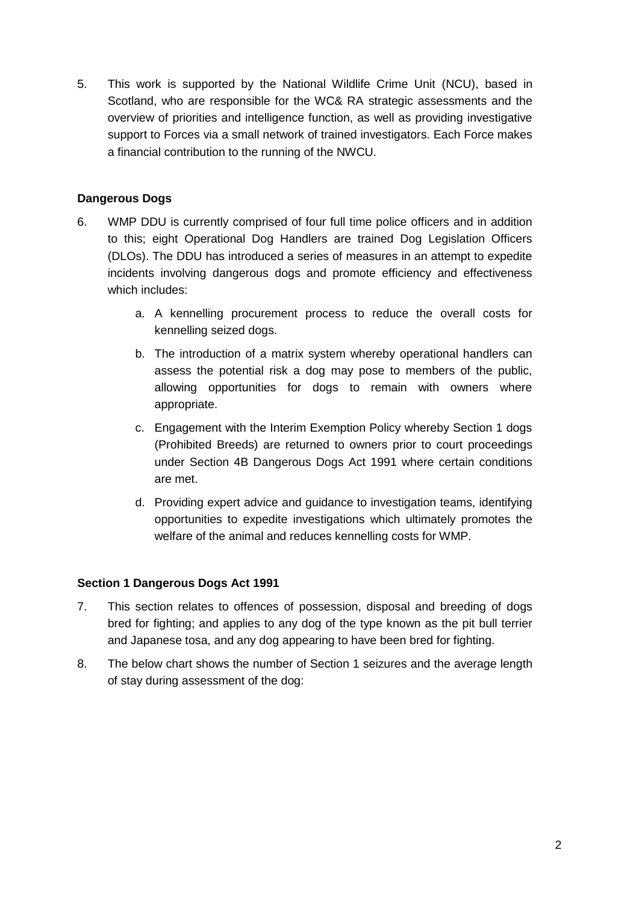5. This work is supported by the National Wildlife Crime Unit (NCU), based in Scotland, who are responsible for the WC& RA strategic assessments and the overview of priorities and intelligence function, as well as providing investigative support to Forces via a small network of trained investigators. Each Force makes a financial contribution to the running of the NWCU.

# **Dangerous Dogs**

- 6. WMP DDU is currently comprised of four full time police officers and in addition to this; eight Operational Dog Handlers are trained Dog Legislation Officers (DLOs). The DDU has introduced a series of measures in an attempt to expedite incidents involving dangerous dogs and promote efficiency and effectiveness which includes:
	- a. A kennelling procurement process to reduce the overall costs for kennelling seized dogs.
	- b. The introduction of a matrix system whereby operational handlers can assess the potential risk a dog may pose to members of the public, allowing opportunities for dogs to remain with owners where appropriate.
	- c. Engagement with the Interim Exemption Policy whereby Section 1 dogs (Prohibited Breeds) are returned to owners prior to court proceedings under Section 4B Dangerous Dogs Act 1991 where certain conditions are met.
	- d. Providing expert advice and guidance to investigation teams, identifying opportunities to expedite investigations which ultimately promotes the welfare of the animal and reduces kennelling costs for WMP.

## **Section 1 Dangerous Dogs Act 1991**

- 7. This section relates to offences of possession, disposal and breeding of dogs bred for fighting; and applies to any dog of the type known as the pit bull terrier and Japanese tosa, and any dog appearing to have been bred for fighting.
- 8. The below chart shows the number of Section 1 seizures and the average length of stay during assessment of the dog: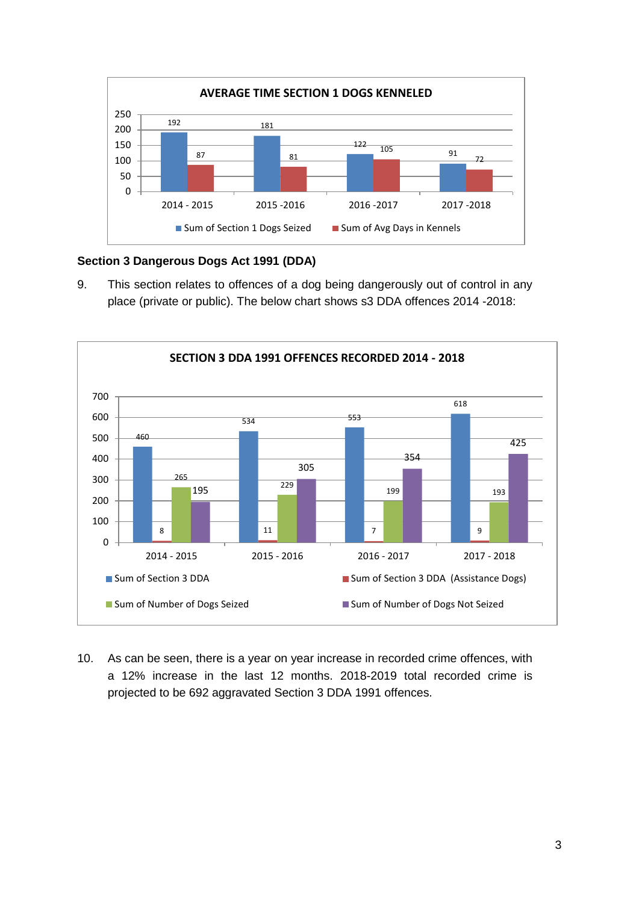

## **Section 3 Dangerous Dogs Act 1991 (DDA)**

9. This section relates to offences of a dog being dangerously out of control in any place (private or public). The below chart shows s3 DDA offences 2014 -2018:



10. As can be seen, there is a year on year increase in recorded crime offences, with a 12% increase in the last 12 months. 2018-2019 total recorded crime is projected to be 692 aggravated Section 3 DDA 1991 offences.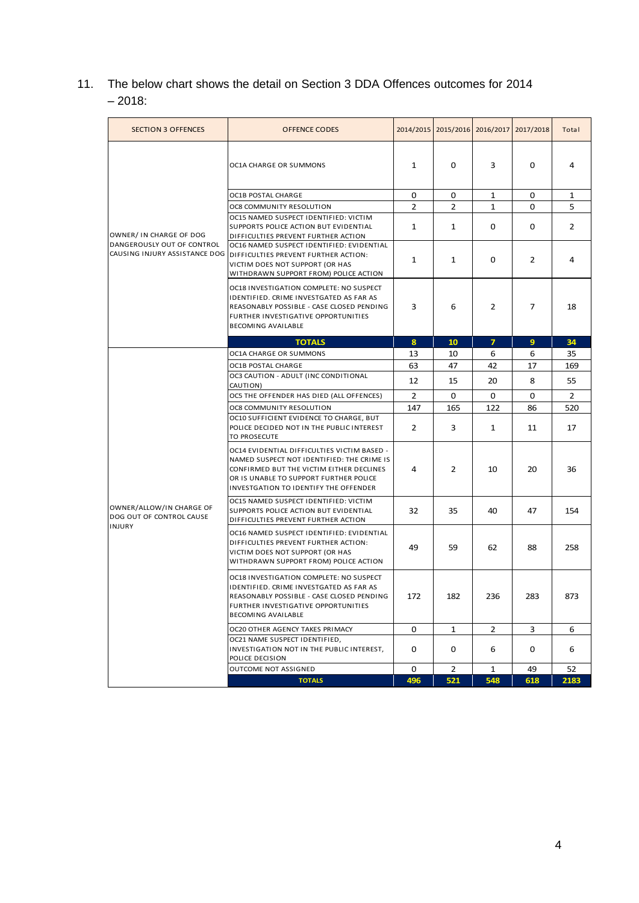11. The below chart shows the detail on Section 3 DDA Offences outcomes for 2014 – 2018:

| <b>SECTION 3 OFFENCES</b>                                                              | <b>OFFENCE CODES</b>                                                                                                                                                                                                     |     |                | 2014/2015 2015/2016 2016/2017 2017/2018 |                | Total          |
|----------------------------------------------------------------------------------------|--------------------------------------------------------------------------------------------------------------------------------------------------------------------------------------------------------------------------|-----|----------------|-----------------------------------------|----------------|----------------|
|                                                                                        | OC1A CHARGE OR SUMMONS                                                                                                                                                                                                   | 1   | 0              | 3                                       | 0              | 4              |
|                                                                                        | <b>OC1B POSTAL CHARGE</b>                                                                                                                                                                                                | 0   | 0              | 1                                       | 0              | 1              |
|                                                                                        | OC8 COMMUNITY RESOLUTION                                                                                                                                                                                                 | 2   | 2              | 1                                       | 0              | 5              |
| OWNER/ IN CHARGE OF DOG<br>DANGEROUSLY OUT OF CONTROL<br>CAUSING INJURY ASSISTANCE DOG | OC15 NAMED SUSPECT IDENTIFIED: VICTIM<br>SUPPORTS POLICE ACTION BUT EVIDENTIAL<br>DIFFICULTIES PREVENT FURTHER ACTION                                                                                                    | 1   | 1              | 0                                       | 0              | 2              |
|                                                                                        | OC16 NAMED SUSPECT IDENTIFIED: EVIDENTIAL<br>DIFFICULTIES PREVENT FURTHER ACTION:<br>VICTIM DOES NOT SUPPORT (OR HAS<br>WITHDRAWN SUPPORT FROM) POLICE ACTION                                                            | 1   | 1              | 0                                       | 2              | 4              |
|                                                                                        | OC18 INVESTIGATION COMPLETE: NO SUSPECT<br>IDENTIFIED. CRIME INVESTGATED AS FAR AS<br>REASONABLY POSSIBLE - CASE CLOSED PENDING<br>FURTHER INVESTIGATIVE OPPORTUNITIES<br>BECOMING AVAILABLE                             | 3   | 6              | 2                                       | $\overline{7}$ | 18             |
|                                                                                        | <b>TOTALS</b>                                                                                                                                                                                                            | 8   | 10             | $\overline{7}$                          | 9              | 34             |
| OWNER/ALLOW/IN CHARGE OF<br>DOG OUT OF CONTROL CAUSE<br><b>INJURY</b>                  | OC1A CHARGE OR SUMMONS                                                                                                                                                                                                   | 13  | 10             | 6                                       | 6              | 35             |
|                                                                                        | OC1B POSTAL CHARGE                                                                                                                                                                                                       | 63  | 47             | 42                                      | 17             | 169            |
|                                                                                        | OC3 CAUTION - ADULT (INC CONDITIONAL<br>CAUTION)                                                                                                                                                                         | 12  | 15             | 20                                      | 8              | 55             |
|                                                                                        | OC5 THE OFFENDER HAS DIED (ALL OFFENCES)                                                                                                                                                                                 | 2   | 0              | 0                                       | 0              | $\overline{2}$ |
|                                                                                        | OC8 COMMUNITY RESOLUTION                                                                                                                                                                                                 | 147 | 165            | 122                                     | 86             | 520            |
|                                                                                        | OC10 SUFFICIENT EVIDENCE TO CHARGE, BUT<br>POLICE DECIDED NOT IN THE PUBLIC INTEREST<br>TO PROSECUTE                                                                                                                     | 2   | 3              | 1                                       | 11             | 17             |
|                                                                                        | OC14 EVIDENTIAL DIFFICULTIES VICTIM BASED -<br>NAMED SUSPECT NOT IDENTIFIED: THE CRIME IS<br>CONFIRMED BUT THE VICTIM EITHER DECLINES<br>OR IS UNABLE TO SUPPORT FURTHER POLICE<br>INVESTGATION TO IDENTIFY THE OFFENDER | 4   | 2              | 10                                      | 20             | 36             |
|                                                                                        | OC15 NAMED SUSPECT IDENTIFIED: VICTIM<br>SUPPORTS POLICE ACTION BUT EVIDENTIAL<br>DIFFICULTIES PREVENT FURTHER ACTION                                                                                                    | 32  | 35             | 40                                      | 47             | 154            |
|                                                                                        | OC16 NAMED SUSPECT IDENTIFIED: EVIDENTIAL<br>DIFFICULTIES PREVENT FURTHER ACTION:<br>VICTIM DOES NOT SUPPORT (OR HAS<br>WITHDRAWN SUPPORT FROM) POLICE ACTION                                                            | 49  | 59             | 62                                      | 88             | 258            |
|                                                                                        | OC18 INVESTIGATION COMPLETE: NO SUSPECT<br>IDENTIFIED. CRIME INVESTGATED AS FAR AS<br>REASONABLY POSSIBLE - CASE CLOSED PENDING<br>FURTHER INVESTIGATIVE OPPORTUNITIES<br>BECOMING AVAILABLE                             | 172 | 182            | 236                                     | 283            | 873            |
|                                                                                        | OC20 OTHER AGENCY TAKES PRIMACY                                                                                                                                                                                          | 0   | $\mathbf{1}$   | $\overline{2}$                          | 3              | 6              |
|                                                                                        | OC21 NAME SUSPECT IDENTIFIED,<br>INVESTIGATION NOT IN THE PUBLIC INTEREST,<br>POLICE DECISION                                                                                                                            | 0   | 0              | 6                                       | 0              | 6              |
|                                                                                        | OUTCOME NOT ASSIGNED                                                                                                                                                                                                     | 0   | $\overline{2}$ | $\mathbf{1}$                            | 49             | 52             |
|                                                                                        | <b>TOTALS</b>                                                                                                                                                                                                            | 496 | 521            | 548                                     | 618            | 2183           |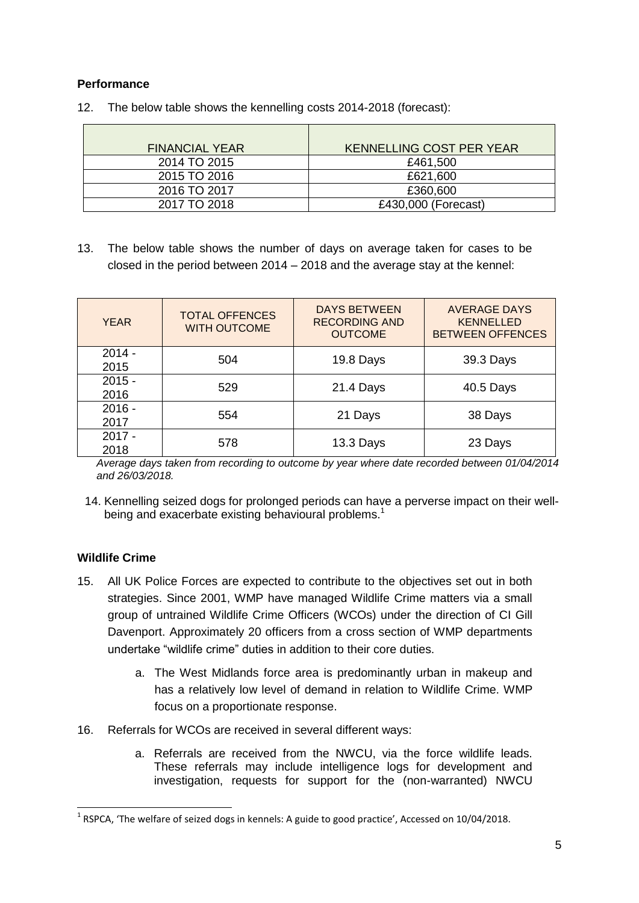# **Performance**

| <b>FINANCIAL YEAR</b> | <b>KENNELLING COST PER YEAR</b> |
|-----------------------|---------------------------------|
| 2014 TO 2015          | £461,500                        |
| 2015 TO 2016          | £621,600                        |
| 2016 TO 2017          | £360,600                        |
| 2017 TO 2018          | £430,000 (Forecast)             |

12. The below table shows the kennelling costs 2014-2018 (forecast):

13. The below table shows the number of days on average taken for cases to be closed in the period between 2014 – 2018 and the average stay at the kennel:

| <b>YEAR</b>      | <b>TOTAL OFFENCES</b><br><b>WITH OUTCOME</b> | <b>DAYS BETWEEN</b><br><b>RECORDING AND</b><br><b>OUTCOME</b> | <b>AVERAGE DAYS</b><br><b>KENNELLED</b><br><b>BETWEEN OFFENCES</b> |
|------------------|----------------------------------------------|---------------------------------------------------------------|--------------------------------------------------------------------|
| $2014 -$<br>2015 | 504                                          | 19.8 Days                                                     | 39.3 Days                                                          |
| $2015 -$<br>2016 | 529                                          | 21.4 Days                                                     | 40.5 Days                                                          |
| $2016 -$<br>2017 | 554                                          | 21 Days                                                       | 38 Days                                                            |
| $2017 -$<br>2018 | 578                                          | 13.3 Days                                                     | 23 Days                                                            |

*Average days taken from recording to outcome by year where date recorded between 01/04/2014 and 26/03/2018.*

14. Kennelling seized dogs for prolonged periods can have a perverse impact on their wellbeing and exacerbate existing behavioural problems.<sup>1</sup>

## **Wildlife Crime**

- 15. All UK Police Forces are expected to contribute to the objectives set out in both strategies. Since 2001, WMP have managed Wildlife Crime matters via a small group of untrained Wildlife Crime Officers (WCOs) under the direction of CI Gill Davenport. Approximately 20 officers from a cross section of WMP departments undertake "wildlife crime" duties in addition to their core duties.
	- a. The West Midlands force area is predominantly urban in makeup and has a relatively low level of demand in relation to Wildlife Crime. WMP focus on a proportionate response.
- 16. Referrals for WCOs are received in several different ways:
	- a. Referrals are received from the NWCU, via the force wildlife leads. These referrals may include intelligence logs for development and investigation, requests for support for the (non-warranted) NWCU

<sup>-</sup> $^{1}$  RSPCA, 'The welfare of seized dogs in kennels: A guide to good practice', Accessed on 10/04/2018.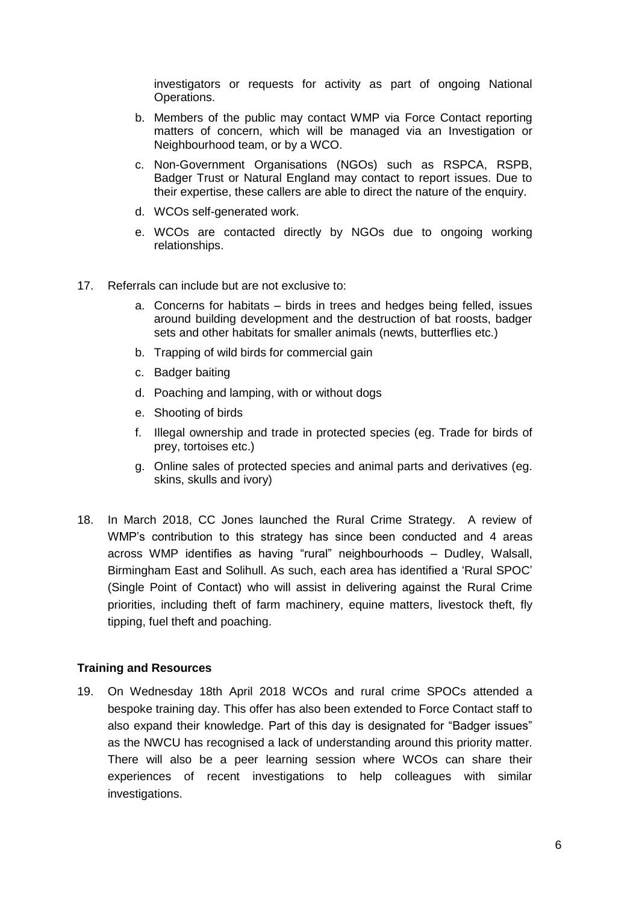investigators or requests for activity as part of ongoing National Operations.

- b. Members of the public may contact WMP via Force Contact reporting matters of concern, which will be managed via an Investigation or Neighbourhood team, or by a WCO.
- c. Non-Government Organisations (NGOs) such as RSPCA, RSPB, Badger Trust or Natural England may contact to report issues. Due to their expertise, these callers are able to direct the nature of the enquiry.
- d. WCOs self-generated work.
- e. WCOs are contacted directly by NGOs due to ongoing working relationships.
- 17. Referrals can include but are not exclusive to:
	- a. Concerns for habitats birds in trees and hedges being felled, issues around building development and the destruction of bat roosts, badger sets and other habitats for smaller animals (newts, butterflies etc.)
	- b. Trapping of wild birds for commercial gain
	- c. Badger baiting
	- d. Poaching and lamping, with or without dogs
	- e. Shooting of birds
	- f. Illegal ownership and trade in protected species (eg. Trade for birds of prey, tortoises etc.)
	- g. Online sales of protected species and animal parts and derivatives (eg. skins, skulls and ivory)
- 18. In March 2018, CC Jones launched the Rural Crime Strategy. A review of WMP's contribution to this strategy has since been conducted and 4 areas across WMP identifies as having "rural" neighbourhoods – Dudley, Walsall, Birmingham East and Solihull. As such, each area has identified a 'Rural SPOC' (Single Point of Contact) who will assist in delivering against the Rural Crime priorities, including theft of farm machinery, equine matters, livestock theft, fly tipping, fuel theft and poaching.

#### **Training and Resources**

19. On Wednesday 18th April 2018 WCOs and rural crime SPOCs attended a bespoke training day. This offer has also been extended to Force Contact staff to also expand their knowledge. Part of this day is designated for "Badger issues" as the NWCU has recognised a lack of understanding around this priority matter. There will also be a peer learning session where WCOs can share their experiences of recent investigations to help colleagues with similar investigations.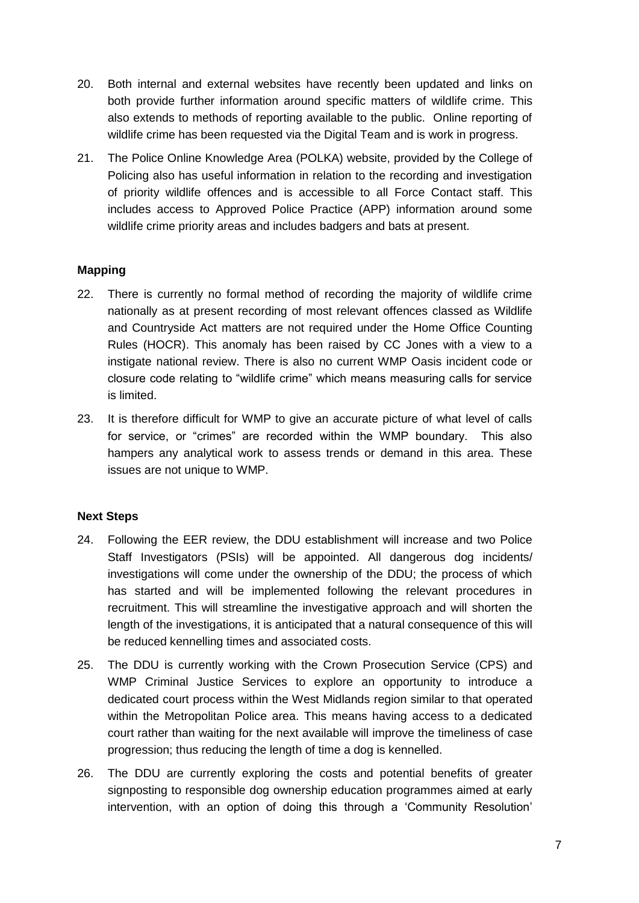- 20. Both internal and external websites have recently been updated and links on both provide further information around specific matters of wildlife crime. This also extends to methods of reporting available to the public. Online reporting of wildlife crime has been requested via the Digital Team and is work in progress.
- 21. The Police Online Knowledge Area (POLKA) website, provided by the College of Policing also has useful information in relation to the recording and investigation of priority wildlife offences and is accessible to all Force Contact staff. This includes access to Approved Police Practice (APP) information around some wildlife crime priority areas and includes badgers and bats at present.

## **Mapping**

- 22. There is currently no formal method of recording the majority of wildlife crime nationally as at present recording of most relevant offences classed as Wildlife and Countryside Act matters are not required under the Home Office Counting Rules (HOCR). This anomaly has been raised by CC Jones with a view to a instigate national review. There is also no current WMP Oasis incident code or closure code relating to "wildlife crime" which means measuring calls for service is limited.
- 23. It is therefore difficult for WMP to give an accurate picture of what level of calls for service, or "crimes" are recorded within the WMP boundary. This also hampers any analytical work to assess trends or demand in this area. These issues are not unique to WMP.

#### **Next Steps**

- 24. Following the EER review, the DDU establishment will increase and two Police Staff Investigators (PSIs) will be appointed. All dangerous dog incidents/ investigations will come under the ownership of the DDU; the process of which has started and will be implemented following the relevant procedures in recruitment. This will streamline the investigative approach and will shorten the length of the investigations, it is anticipated that a natural consequence of this will be reduced kennelling times and associated costs.
- 25. The DDU is currently working with the Crown Prosecution Service (CPS) and WMP Criminal Justice Services to explore an opportunity to introduce a dedicated court process within the West Midlands region similar to that operated within the Metropolitan Police area. This means having access to a dedicated court rather than waiting for the next available will improve the timeliness of case progression; thus reducing the length of time a dog is kennelled.
- 26. The DDU are currently exploring the costs and potential benefits of greater signposting to responsible dog ownership education programmes aimed at early intervention, with an option of doing this through a 'Community Resolution'